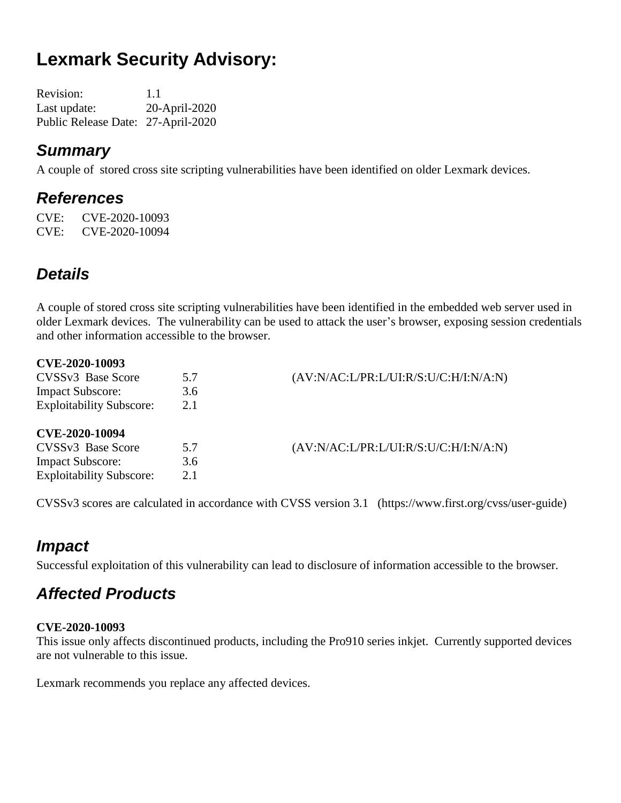# **Lexmark Security Advisory:**

| <b>Revision:</b>                   | 1.1           |
|------------------------------------|---------------|
| Last update:                       | 20-April-2020 |
| Public Release Date: 27-April-2020 |               |

### *Summary*

A couple of stored cross site scripting vulnerabilities have been identified on older Lexmark devices.

### *References*

CVE: CVE-2020-10093 CVE: CVE-2020-10094

### *Details*

A couple of stored cross site scripting vulnerabilities have been identified in the embedded web server used in older Lexmark devices. The vulnerability can be used to attack the user's browser, exposing session credentials and other information accessible to the browser.

| CVE-2020-10093                  |     |                                       |
|---------------------------------|-----|---------------------------------------|
| CVSSv3 Base Score               | 5.7 | (AV:N/AC:L/PR:L/UI:R/S:U/C:H/I:N/A:N) |
| <b>Impact Subscore:</b>         | 3.6 |                                       |
| <b>Exploitability Subscore:</b> | 2.1 |                                       |
| <b>CVE-2020-10094</b>           |     |                                       |
| CVSSv3 Base Score               | 5.7 | (AV:N/AC:L/PR:L/UI:R/S:U/C:H/I:N/A:N) |
| <b>Impact Subscore:</b>         | 3.6 |                                       |
| <b>Exploitability Subscore:</b> | 2.1 |                                       |
|                                 |     |                                       |

CVSSv3 scores are calculated in accordance with CVSS version 3.1 (https://www.first.org/cvss/user-guide)

### *Impact*

Successful exploitation of this vulnerability can lead to disclosure of information accessible to the browser.

## *Affected Products*

#### **CVE-2020-10093**

This issue only affects discontinued products, including the Pro910 series inkjet. Currently supported devices are not vulnerable to this issue.

Lexmark recommends you replace any affected devices.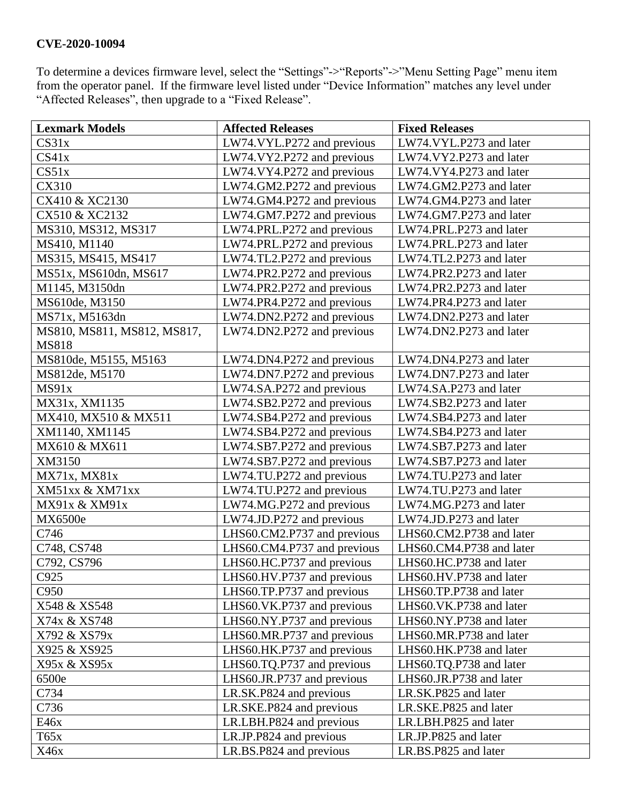#### **CVE-2020-10094**

To determine a devices firmware level, select the "Settings"->"Reports"->"Menu Setting Page" menu item from the operator panel. If the firmware level listed under "Device Information" matches any level under "Affected Releases", then upgrade to a "Fixed Release".

| <b>Lexmark Models</b>       | <b>Affected Releases</b>    | <b>Fixed Releases</b>    |
|-----------------------------|-----------------------------|--------------------------|
| CS31x                       | LW74.VYL.P272 and previous  | LW74.VYL.P273 and later  |
| CS41x                       | LW74.VY2.P272 and previous  | LW74.VY2.P273 and later  |
| CS51x                       | LW74.VY4.P272 and previous  | LW74.VY4.P273 and later  |
| CX310                       | LW74.GM2.P272 and previous  | LW74.GM2.P273 and later  |
| CX410 & XC2130              | LW74.GM4.P272 and previous  | LW74.GM4.P273 and later  |
| CX510 & XC2132              | LW74.GM7.P272 and previous  | LW74.GM7.P273 and later  |
| MS310, MS312, MS317         | LW74.PRL.P272 and previous  | LW74.PRL.P273 and later  |
| MS410, M1140                | LW74.PRL.P272 and previous  | LW74.PRL.P273 and later  |
| MS315, MS415, MS417         | LW74.TL2.P272 and previous  | LW74.TL2.P273 and later  |
| MS51x, MS610dn, MS617       | LW74.PR2.P272 and previous  | LW74.PR2.P273 and later  |
| M1145, M3150dn              | LW74.PR2.P272 and previous  | LW74.PR2.P273 and later  |
| MS610de, M3150              | LW74.PR4.P272 and previous  | LW74.PR4.P273 and later  |
| MS71x, M5163dn              | LW74.DN2.P272 and previous  | LW74.DN2.P273 and later  |
| MS810, MS811, MS812, MS817, | LW74.DN2.P272 and previous  | LW74.DN2.P273 and later  |
| <b>MS818</b>                |                             |                          |
| MS810de, M5155, M5163       | LW74.DN4.P272 and previous  | LW74.DN4.P273 and later  |
| MS812de, M5170              | LW74.DN7.P272 and previous  | LW74.DN7.P273 and later  |
| MS91x                       | LW74.SA.P272 and previous   | LW74.SA.P273 and later   |
| MX31x, XM1135               | LW74.SB2.P272 and previous  | LW74.SB2.P273 and later  |
| MX410, MX510 & MX511        | LW74.SB4.P272 and previous  | LW74.SB4.P273 and later  |
| XM1140, XM1145              | LW74.SB4.P272 and previous  | LW74.SB4.P273 and later  |
| MX610 & MX611               | LW74.SB7.P272 and previous  | LW74.SB7.P273 and later  |
| XM3150                      | LW74.SB7.P272 and previous  | LW74.SB7.P273 and later  |
| MX71x, MX81x                | LW74.TU.P272 and previous   | LW74.TU.P273 and later   |
| XM51xx & XM71xx             | LW74.TU.P272 and previous   | LW74.TU.P273 and later   |
| MX91x & XM91x               | LW74.MG.P272 and previous   | LW74.MG.P273 and later   |
| <b>MX6500e</b>              | LW74.JD.P272 and previous   | LW74.JD.P273 and later   |
| C746                        | LHS60.CM2.P737 and previous | LHS60.CM2.P738 and later |
| C748, CS748                 | LHS60.CM4.P737 and previous | LHS60.CM4.P738 and later |
| C792, CS796                 | LHS60.HC.P737 and previous  | LHS60.HC.P738 and later  |
| C925                        | LHS60.HV.P737 and previous  | LHS60.HV.P738 and later  |
| C <sub>950</sub>            | LHS60.TP.P737 and previous  | LHS60.TP.P738 and later  |
| X548 & XS548                | LHS60.VK.P737 and previous  | LHS60.VK.P738 and later  |
| X74x & XS748                | LHS60.NY.P737 and previous  | LHS60.NY.P738 and later  |
| X792 & XS79x                | LHS60.MR.P737 and previous  | LHS60.MR.P738 and later  |
| X925 & XS925                | LHS60.HK.P737 and previous  | LHS60.HK.P738 and later  |
| X95x & XS95x                | LHS60.TQ.P737 and previous  | LHS60.TQ.P738 and later  |
| 6500e                       | LHS60.JR.P737 and previous  | LHS60.JR.P738 and later  |
| C734                        | LR.SK.P824 and previous     | LR.SK.P825 and later     |
| C736                        | LR.SKE.P824 and previous    | LR.SKE.P825 and later    |
| E46x                        | LR.LBH.P824 and previous    | LR.LBH.P825 and later    |
| T65x                        | LR.JP.P824 and previous     | LR.JP.P825 and later     |
| X46x                        | LR.BS.P824 and previous     | LR.BS.P825 and later     |
|                             |                             |                          |